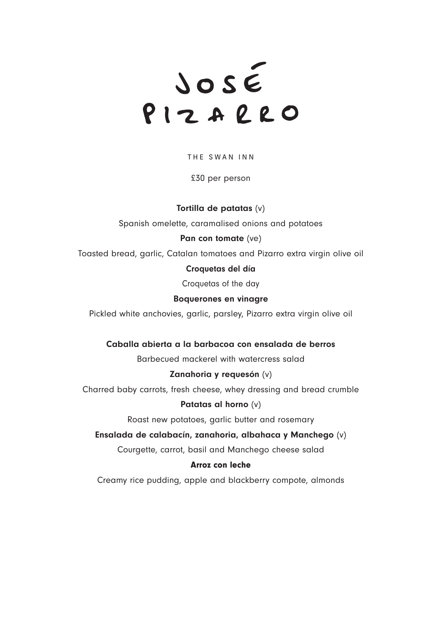JOSÉ<br>PIZARRO

THE SWAN INN

£30 per person

# Tortilla de patatas (v)

Spanish omelette, caramalised onions and potatoes

# Pan con tomate (ve)

Toasted bread, garlic, Catalan tomatoes and Pizarro extra virgin olive oil

# Croquetas del día

Croquetas of the day

#### Boquerones en vinagre

Pickled white anchovies, garlic, parsley, Pizarro extra virgin olive oil

## Caballa abierta a la barbacoa con ensalada de berros

Barbecued mackerel with watercress salad

#### Zanahoria y requesón (v)

Charred baby carrots, fresh cheese, whey dressing and bread crumble

#### Patatas al horno (v)

Roast new potatoes, garlic butter and rosemary

## Ensalada de calabacín, zanahoria, albahaca y Manchego (v)

Courgette, carrot, basil and Manchego cheese salad

# Arroz con leche

Creamy rice pudding, apple and blackberry compote, almonds